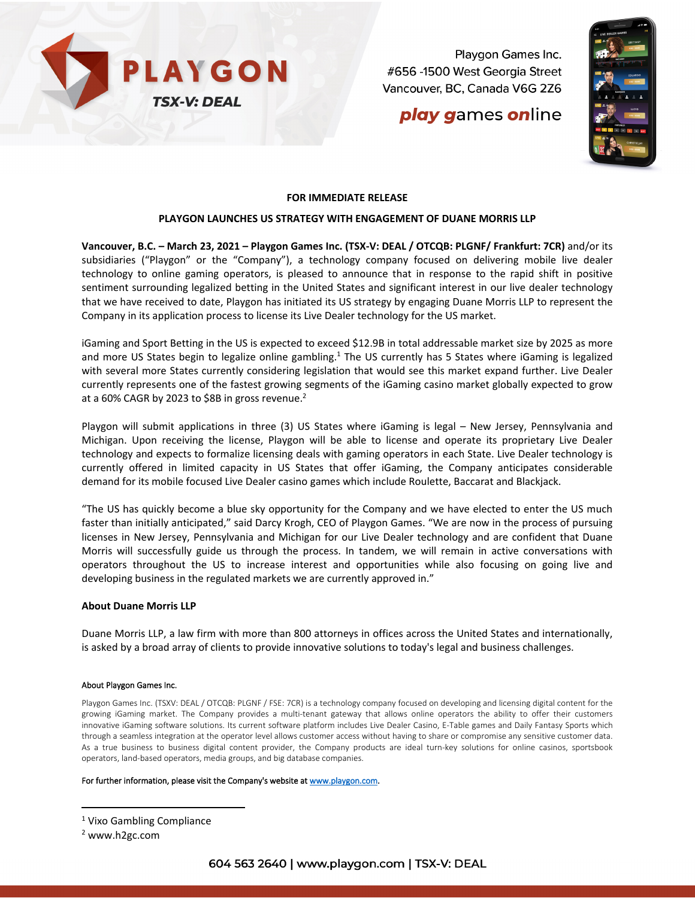

Playgon Games Inc. #656 -1500 West Georgia Street Vancouver, BC, Canada V6G 2Z6

## **play games online**



## **FOR IMMEDIATE RELEASE**

### **PLAYGON LAUNCHES US STRATEGY WITH ENGAGEMENT OF DUANE MORRIS LLP**

**Vancouver, B.C. – March 23, 2021 – Playgon Games Inc. (TSX-V: DEAL / OTCQB: PLGNF/ Frankfurt: 7CR)** and/or its subsidiaries ("Playgon" or the "Company"), a technology company focused on delivering mobile live dealer technology to online gaming operators, is pleased to announce that in response to the rapid shift in positive sentiment surrounding legalized betting in the United States and significant interest in our live dealer technology that we have received to date, Playgon has initiated its US strategy by engaging Duane Morris LLP to represent the Company in its application process to license its Live Dealer technology for the US market.

iGaming and Sport Betting in the US is expected to exceed \$12.9B in total addressable market size by 2025 as more and more US States begin to legalize online gambling.<sup>1</sup> The US currently has 5 States where iGaming is legalized with several more States currently considering legislation that would see this market expand further. Live Dealer currently represents one of the fastest growing segments of the iGaming casino market globally expected to grow at a 60% CAGR by 2023 to \$8B in gross revenue.<sup>2</sup>

Playgon will submit applications in three (3) US States where iGaming is legal – New Jersey, Pennsylvania and Michigan. Upon receiving the license, Playgon will be able to license and operate its proprietary Live Dealer technology and expects to formalize licensing deals with gaming operators in each State. Live Dealer technology is currently offered in limited capacity in US States that offer iGaming, the Company anticipates considerable demand for its mobile focused Live Dealer casino games which include Roulette, Baccarat and Blackjack.

"The US has quickly become a blue sky opportunity for the Company and we have elected to enter the US much faster than initially anticipated," said Darcy Krogh, CEO of Playgon Games. "We are now in the process of pursuing licenses in New Jersey, Pennsylvania and Michigan for our Live Dealer technology and are confident that Duane Morris will successfully guide us through the process. In tandem, we will remain in active conversations with operators throughout the US to increase interest and opportunities while also focusing on going live and developing business in the regulated markets we are currently approved in."

#### **About Duane Morris LLP**

Duane Morris LLP, a law firm with more than 800 attorneys in offices across the United States and internationally, is asked by a broad array of clients to provide innovative solutions to today's legal and business challenges.

#### About Playgon Games Inc.

Playgon Games Inc. (TSXV: DEAL / OTCQB: PLGNF / FSE: 7CR) is a technology company focused on developing and licensing digital content for the growing iGaming market. The Company provides a multi-tenant gateway that allows online operators the ability to offer their customers innovative iGaming software solutions. Its current software platform includes Live Dealer Casino, E-Table games and Daily Fantasy Sports which through a seamless integration at the operator level allows customer access without having to share or compromise any sensitive customer data. As a true business to business digital content provider, the Company products are ideal turn-key solutions for online casinos, sportsbook operators, land-based operators, media groups, and big database companies.

#### For further information, please visit the Company's website at www.playgon.com.

<sup>1</sup> Vixo Gambling Compliance

<sup>2</sup> www.h2gc.com